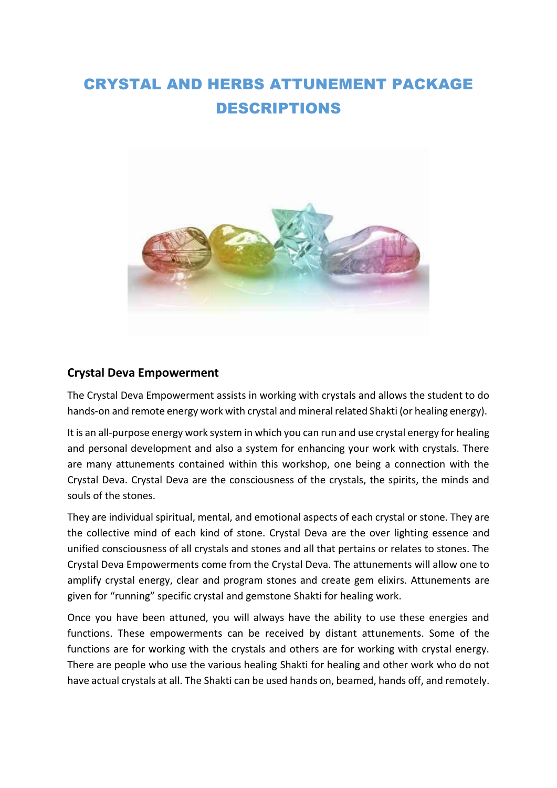# CRYSTAL AND HERBS ATTUNEMENT PACKAGE DESCRIPTIONS



#### **Crystal Deva Empowerment**

The Crystal Deva Empowerment assists in working with crystals and allows the student to do hands-on and remote energy work with crystal and mineral related Shakti (or healing energy).

It is an all-purpose energy work system in which you can run and use crystal energy for healing and personal development and also a system for enhancing your work with crystals. There are many attunements contained within this workshop, one being a connection with the Crystal Deva. Crystal Deva are the consciousness of the crystals, the spirits, the minds and souls of the stones.

They are individual spiritual, mental, and emotional aspects of each crystal or stone. They are the collective mind of each kind of stone. Crystal Deva are the over lighting essence and unified consciousness of all crystals and stones and all that pertains or relates to stones. The Crystal Deva Empowerments come from the Crystal Deva. The attunements will allow one to amplify crystal energy, clear and program stones and create gem elixirs. Attunements are given for "running" specific crystal and gemstone Shakti for healing work.

Once you have been attuned, you will always have the ability to use these energies and functions. These empowerments can be received by distant attunements. Some of the functions are for working with the crystals and others are for working with crystal energy. There are people who use the various healing Shakti for healing and other work who do not have actual crystals at all. The Shakti can be used hands on, beamed, hands off, and remotely.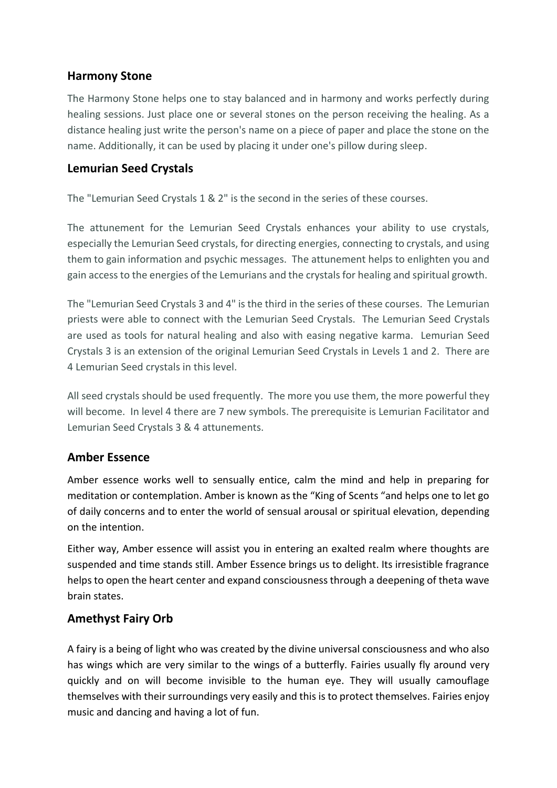## **Harmony Stone**

The Harmony Stone helps one to stay balanced and in harmony and works perfectly during healing sessions. Just place one or several stones on the person receiving the healing. As a distance healing just write the person's name on a piece of paper and place the stone on the name. Additionally, it can be used by placing it under one's pillow during sleep.

#### **Lemurian Seed Crystals**

The "Lemurian Seed Crystals 1 & 2" is the second in the series of these courses.

The attunement for the Lemurian Seed Crystals enhances your ability to use crystals, especially the Lemurian Seed crystals, for directing energies, connecting to crystals, and using them to gain information and psychic messages. The attunement helps to enlighten you and gain access to the energies of the Lemurians and the crystals for healing and spiritual growth.

The "Lemurian Seed Crystals 3 and 4" is the third in the series of these courses. The Lemurian priests were able to connect with the Lemurian Seed Crystals. The Lemurian Seed Crystals are used as tools for natural healing and also with easing negative karma. Lemurian Seed Crystals 3 is an extension of the original Lemurian Seed Crystals in Levels 1 and 2. There are 4 Lemurian Seed crystals in this level.

All seed crystals should be used frequently. The more you use them, the more powerful they will become. In level 4 there are 7 new symbols. The prerequisite is Lemurian Facilitator and Lemurian Seed Crystals 3 & 4 attunements.

# **Amber Essence**

Amber essence works well to sensually entice, calm the mind and help in preparing for meditation or contemplation. Amber is known as the "King of Scents "and helps one to let go of daily concerns and to enter the world of sensual arousal or spiritual elevation, depending on the intention.

Either way, Amber essence will assist you in entering an exalted realm where thoughts are suspended and time stands still. Amber Essence brings us to delight. Its irresistible fragrance helps to open the heart center and expand consciousness through a deepening of theta wave brain states.

# **Amethyst Fairy Orb**

A fairy is a being of light who was created by the divine universal consciousness and who also has wings which are very similar to the wings of a butterfly. Fairies usually fly around very quickly and on will become invisible to the human eye. They will usually camouflage themselves with their surroundings very easily and this is to protect themselves. Fairies enjoy music and dancing and having a lot of fun.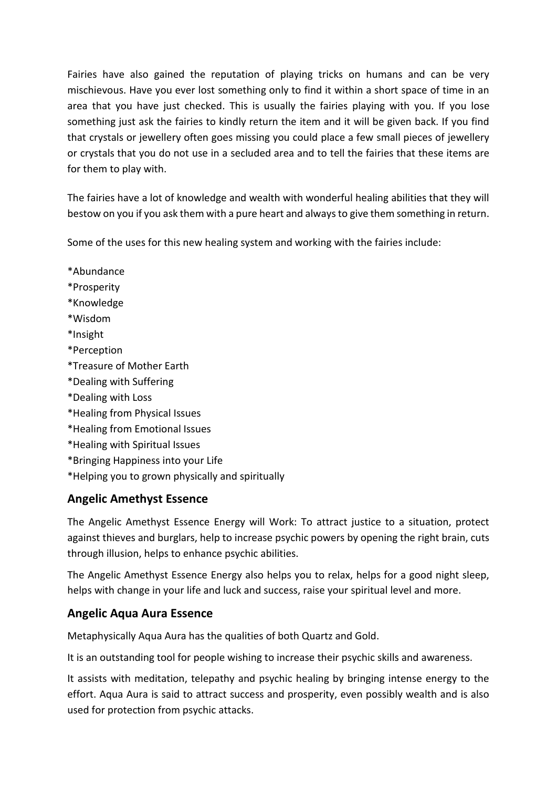Fairies have also gained the reputation of playing tricks on humans and can be very mischievous. Have you ever lost something only to find it within a short space of time in an area that you have just checked. This is usually the fairies playing with you. If you lose something just ask the fairies to kindly return the item and it will be given back. If you find that crystals or jewellery often goes missing you could place a few small pieces of jewellery or crystals that you do not use in a secluded area and to tell the fairies that these items are for them to play with.

The fairies have a lot of knowledge and wealth with wonderful healing abilities that they will bestow on you if you ask them with a pure heart and always to give them something in return.

Some of the uses for this new healing system and working with the fairies include:

\*Abundance \*Prosperity \*Knowledge \*Wisdom \*Insight \*Perception \*Treasure of Mother Earth \*Dealing with Suffering \*Dealing with Loss \*Healing from Physical Issues \*Healing from Emotional Issues \*Healing with Spiritual Issues \*Bringing Happiness into your Life \*Helping you to grown physically and spiritually

# **Angelic Amethyst Essence**

The Angelic Amethyst Essence Energy will Work: To attract justice to a situation, protect against thieves and burglars, help to increase psychic powers by opening the right brain, cuts through illusion, helps to enhance psychic abilities.

The Angelic Amethyst Essence Energy also helps you to relax, helps for a good night sleep, helps with change in your life and luck and success, raise your spiritual level and more.

# **Angelic Aqua Aura Essence**

Metaphysically Aqua Aura has the qualities of both Quartz and Gold.

It is an outstanding tool for people wishing to increase their psychic skills and awareness.

It assists with meditation, telepathy and psychic healing by bringing intense energy to the effort. Aqua Aura is said to attract success and prosperity, even possibly wealth and is also used for protection from psychic attacks.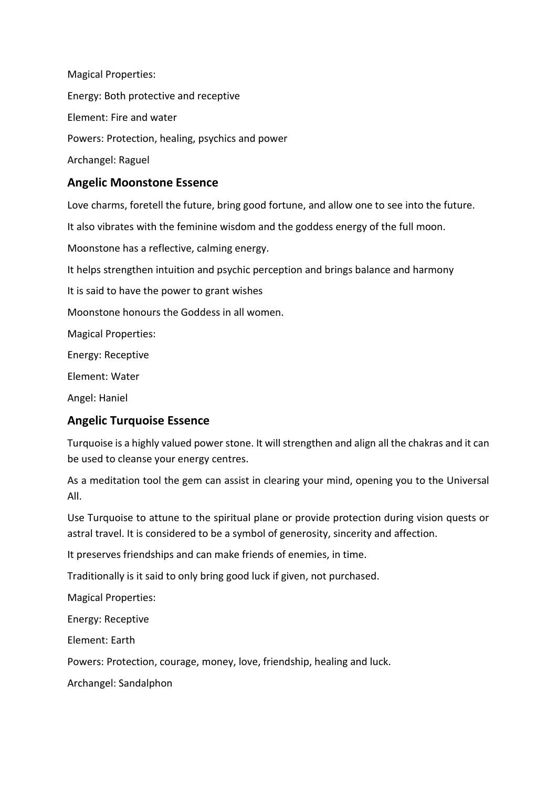Magical Properties: Energy: Both protective and receptive Element: Fire and water Powers: Protection, healing, psychics and power Archangel: Raguel

## **Angelic Moonstone Essence**

Love charms, foretell the future, bring good fortune, and allow one to see into the future. It also vibrates with the feminine wisdom and the goddess energy of the full moon. Moonstone has a reflective, calming energy. It helps strengthen intuition and psychic perception and brings balance and harmony It is said to have the power to grant wishes Moonstone honours the Goddess in all women. Magical Properties: Energy: Receptive Element: Water

Angel: Haniel

# **Angelic Turquoise Essence**

Turquoise is a highly valued power stone. It will strengthen and align all the chakras and it can be used to cleanse your energy centres.

As a meditation tool the gem can assist in clearing your mind, opening you to the Universal All.

Use Turquoise to attune to the spiritual plane or provide protection during vision quests or astral travel. It is considered to be a symbol of generosity, sincerity and affection.

It preserves friendships and can make friends of enemies, in time.

Traditionally is it said to only bring good luck if given, not purchased.

Magical Properties:

Energy: Receptive

Element: Earth

Powers: Protection, courage, money, love, friendship, healing and luck.

Archangel: Sandalphon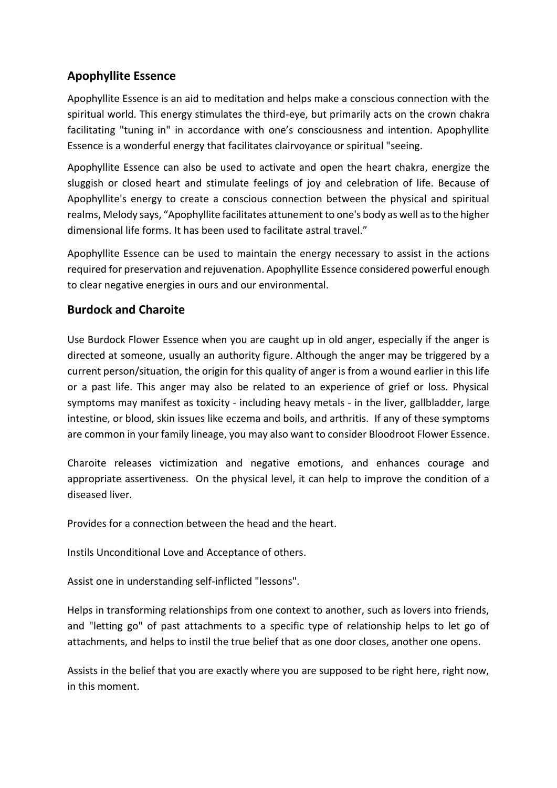# **Apophyllite Essence**

Apophyllite Essence is an aid to meditation and helps make a conscious connection with the spiritual world. This energy stimulates the third-eye, but primarily acts on the crown chakra facilitating "tuning in" in accordance with one's consciousness and intention. Apophyllite Essence is a wonderful energy that facilitates clairvoyance or spiritual "seeing.

Apophyllite Essence can also be used to activate and open the heart chakra, energize the sluggish or closed heart and stimulate feelings of joy and celebration of life. Because of Apophyllite's energy to create a conscious connection between the physical and spiritual realms, Melody says, "Apophyllite facilitates attunement to one's body as well as to the higher dimensional life forms. It has been used to facilitate astral travel."

Apophyllite Essence can be used to maintain the energy necessary to assist in the actions required for preservation and rejuvenation. Apophyllite Essence considered powerful enough to clear negative energies in ours and our environmental.

# **Burdock and Charoite**

Use Burdock Flower Essence when you are caught up in old anger, especially if the anger is directed at someone, usually an authority figure. Although the anger may be triggered by a current person/situation, the origin for this quality of anger is from a wound earlier in this life or a past life. This anger may also be related to an experience of grief or loss. Physical symptoms may manifest as toxicity - including heavy metals - in the liver, gallbladder, large intestine, or blood, skin issues like eczema and boils, and arthritis. If any of these symptoms are common in your family lineage, you may also want to consider Bloodroot Flower Essence.

Charoite releases victimization and negative emotions, and enhances courage and appropriate assertiveness. On the physical level, it can help to improve the condition of a diseased liver.

Provides for a connection between the head and the heart.

Instils Unconditional Love and Acceptance of others.

Assist one in understanding self-inflicted "lessons".

Helps in transforming relationships from one context to another, such as lovers into friends, and "letting go" of past attachments to a specific type of relationship helps to let go of attachments, and helps to instil the true belief that as one door closes, another one opens.

Assists in the belief that you are exactly where you are supposed to be right here, right now, in this moment.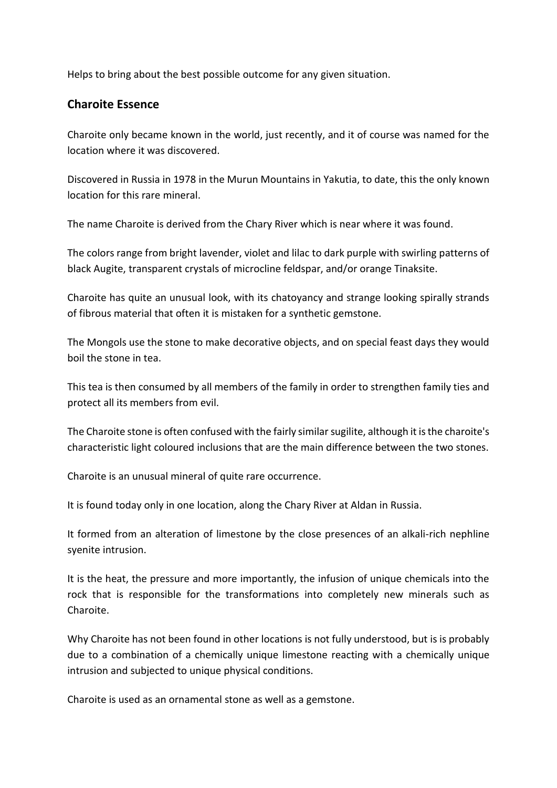Helps to bring about the best possible outcome for any given situation.

#### **Charoite Essence**

Charoite only became known in the world, just recently, and it of course was named for the location where it was discovered.

Discovered in Russia in 1978 in the Murun Mountains in Yakutia, to date, this the only known location for this rare mineral.

The name Charoite is derived from the Chary River which is near where it was found.

The colors range from bright lavender, violet and lilac to dark purple with swirling patterns of black Augite, transparent crystals of microcline feldspar, and/or orange Tinaksite.

Charoite has quite an unusual look, with its chatoyancy and strange looking spirally strands of fibrous material that often it is mistaken for a synthetic gemstone.

The Mongols use the stone to make decorative objects, and on special feast days they would boil the stone in tea.

This tea is then consumed by all members of the family in order to strengthen family ties and protect all its members from evil.

The Charoite stone is often confused with the fairly similar sugilite, although it is the charoite's characteristic light coloured inclusions that are the main difference between the two stones.

Charoite is an unusual mineral of quite rare occurrence.

It is found today only in one location, along the Chary River at Aldan in Russia.

It formed from an alteration of limestone by the close presences of an alkali-rich nephline syenite intrusion.

It is the heat, the pressure and more importantly, the infusion of unique chemicals into the rock that is responsible for the transformations into completely new minerals such as Charoite.

Why Charoite has not been found in other locations is not fully understood, but is is probably due to a combination of a chemically unique limestone reacting with a chemically unique intrusion and subjected to unique physical conditions.

Charoite is used as an ornamental stone as well as a gemstone.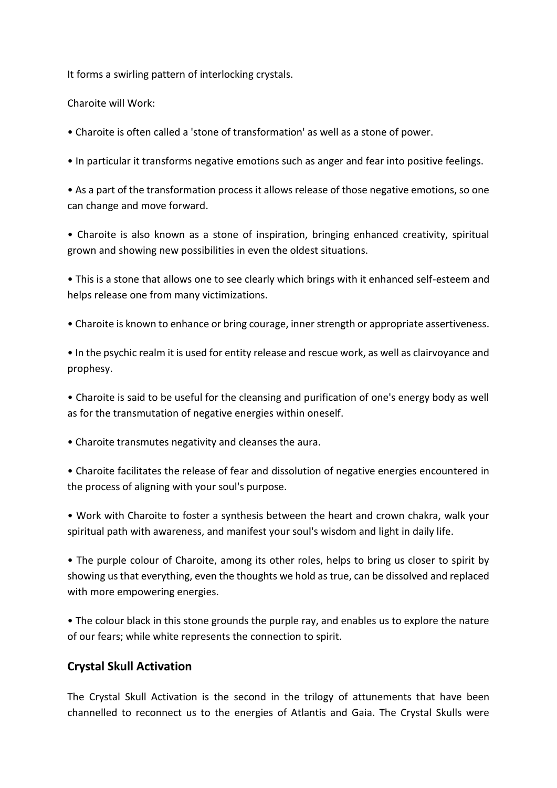It forms a swirling pattern of interlocking crystals.

Charoite will Work:

• Charoite is often called a 'stone of transformation' as well as a stone of power.

• In particular it transforms negative emotions such as anger and fear into positive feelings.

• As a part of the transformation process it allows release of those negative emotions, so one can change and move forward.

• Charoite is also known as a stone of inspiration, bringing enhanced creativity, spiritual grown and showing new possibilities in even the oldest situations.

• This is a stone that allows one to see clearly which brings with it enhanced self-esteem and helps release one from many victimizations.

• Charoite is known to enhance or bring courage, inner strength or appropriate assertiveness.

• In the psychic realm it is used for entity release and rescue work, as well as clairvoyance and prophesy.

• Charoite is said to be useful for the cleansing and purification of one's energy body as well as for the transmutation of negative energies within oneself.

• Charoite transmutes negativity and cleanses the aura.

• Charoite facilitates the release of fear and dissolution of negative energies encountered in the process of aligning with your soul's purpose.

• Work with Charoite to foster a synthesis between the heart and crown chakra, walk your spiritual path with awareness, and manifest your soul's wisdom and light in daily life.

• The purple colour of Charoite, among its other roles, helps to bring us closer to spirit by showing us that everything, even the thoughts we hold as true, can be dissolved and replaced with more empowering energies.

• The colour black in this stone grounds the purple ray, and enables us to explore the nature of our fears; while white represents the connection to spirit.

# **Crystal Skull Activation**

The Crystal Skull Activation is the second in the trilogy of attunements that have been channelled to reconnect us to the energies of Atlantis and Gaia. The Crystal Skulls were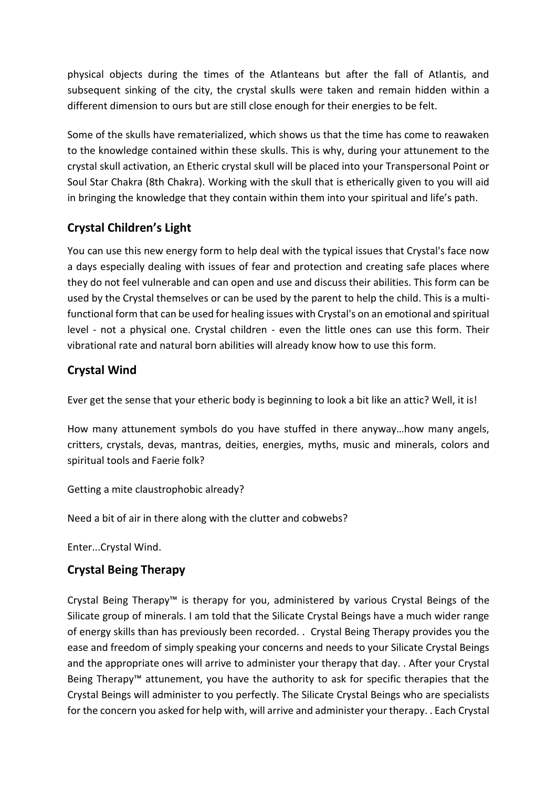physical objects during the times of the Atlanteans but after the fall of Atlantis, and subsequent sinking of the city, the crystal skulls were taken and remain hidden within a different dimension to ours but are still close enough for their energies to be felt.

Some of the skulls have rematerialized, which shows us that the time has come to reawaken to the knowledge contained within these skulls. This is why, during your attunement to the crystal skull activation, an Etheric crystal skull will be placed into your Transpersonal Point or Soul Star Chakra (8th Chakra). Working with the skull that is etherically given to you will aid in bringing the knowledge that they contain within them into your spiritual and life's path.

# **Crystal Children's Light**

You can use this new energy form to help deal with the typical issues that Crystal's face now a days especially dealing with issues of fear and protection and creating safe places where they do not feel vulnerable and can open and use and discuss their abilities. This form can be used by the Crystal themselves or can be used by the parent to help the child. This is a multifunctional form that can be used for healing issues with Crystal's on an emotional and spiritual level - not a physical one. Crystal children - even the little ones can use this form. Their vibrational rate and natural born abilities will already know how to use this form.

# **Crystal Wind**

Ever get the sense that your etheric body is beginning to look a bit like an attic? Well, it is!

How many attunement symbols do you have stuffed in there anyway…how many angels, critters, crystals, devas, mantras, deities, energies, myths, music and minerals, colors and spiritual tools and Faerie folk?

Getting a mite claustrophobic already?

Need a bit of air in there along with the clutter and cobwebs?

Enter...Crystal Wind.

# **Crystal Being Therapy**

Crystal Being Therapy™ is therapy for you, administered by various Crystal Beings of the Silicate group of minerals. I am told that the Silicate Crystal Beings have a much wider range of energy skills than has previously been recorded. . Crystal Being Therapy provides you the ease and freedom of simply speaking your concerns and needs to your Silicate Crystal Beings and the appropriate ones will arrive to administer your therapy that day. . After your Crystal Being Therapy™ attunement, you have the authority to ask for specific therapies that the Crystal Beings will administer to you perfectly. The Silicate Crystal Beings who are specialists for the concern you asked for help with, will arrive and administer your therapy. . Each Crystal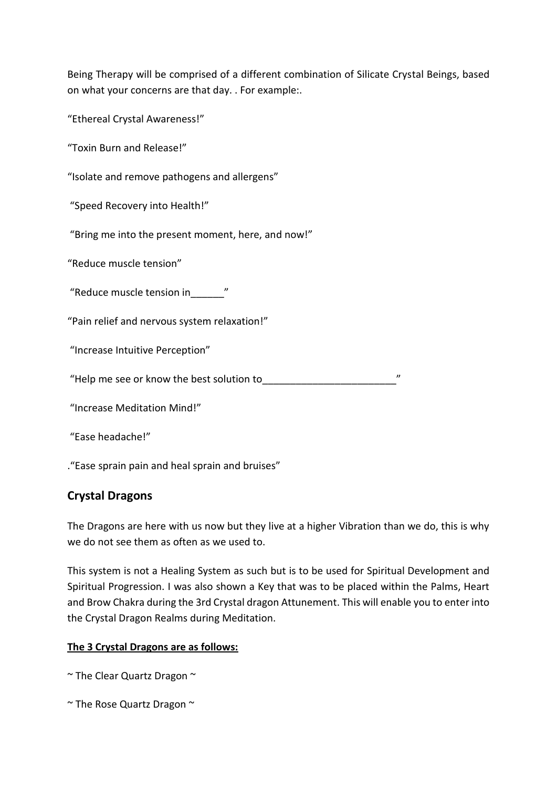Being Therapy will be comprised of a different combination of Silicate Crystal Beings, based on what your concerns are that day. . For example:.

"Ethereal Crystal Awareness!"

"Toxin Burn and Release!"

"Isolate and remove pathogens and allergens"

"Speed Recovery into Health!"

"Bring me into the present moment, here, and now!"

"Reduce muscle tension"

"Reduce muscle tension in\_\_\_\_\_\_"

"Pain relief and nervous system relaxation!"

"Increase Intuitive Perception"

"Help me see or know the best solution to\_\_\_\_\_\_\_\_\_\_\_\_\_\_\_\_\_\_\_\_\_\_\_\_"

"Increase Meditation Mind!"

"Ease headache!"

."Ease sprain pain and heal sprain and bruises"

#### **Crystal Dragons**

The Dragons are here with us now but they live at a higher Vibration than we do, this is why we do not see them as often as we used to.

This system is not a Healing System as such but is to be used for Spiritual Development and Spiritual Progression. I was also shown a Key that was to be placed within the Palms, Heart and Brow Chakra during the 3rd Crystal dragon Attunement. This will enable you to enter into the Crystal Dragon Realms during Meditation.

#### **The 3 Crystal Dragons are as follows:**

- $\sim$  The Clear Quartz Dragon  $\sim$
- $\sim$  The Rose Quartz Dragon  $\sim$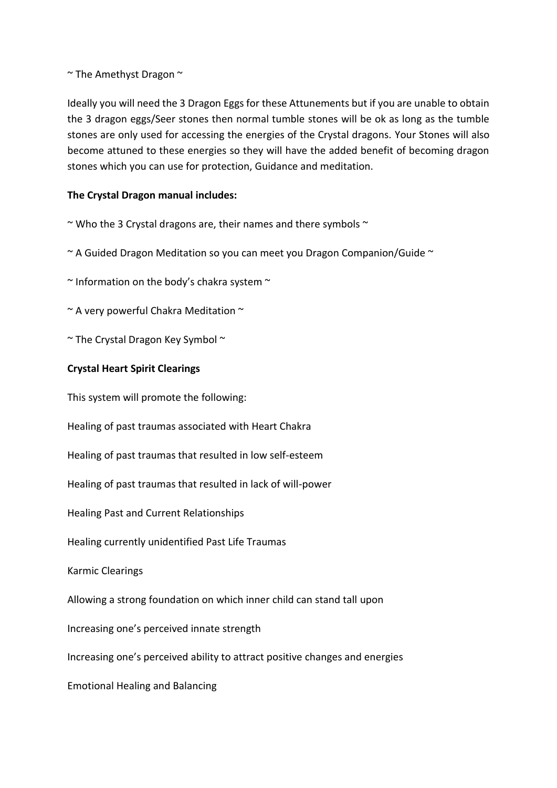$\sim$  The Amethyst Dragon  $\sim$ 

Ideally you will need the 3 Dragon Eggs for these Attunements but if you are unable to obtain the 3 dragon eggs/Seer stones then normal tumble stones will be ok as long as the tumble stones are only used for accessing the energies of the Crystal dragons. Your Stones will also become attuned to these energies so they will have the added benefit of becoming dragon stones which you can use for protection, Guidance and meditation.

#### **The Crystal Dragon manual includes:**

 $\sim$  Who the 3 Crystal dragons are, their names and there symbols  $\sim$ 

 $\sim$  A Guided Dragon Meditation so you can meet you Dragon Companion/Guide  $\sim$ 

 $\sim$  Information on the body's chakra system  $\sim$ 

~ A very powerful Chakra Meditation ~

 $\sim$  The Crystal Dragon Key Symbol  $\sim$ 

#### **Crystal Heart Spirit Clearings**

This system will promote the following:

Healing of past traumas associated with Heart Chakra

Healing of past traumas that resulted in low self-esteem

Healing of past traumas that resulted in lack of will-power

Healing Past and Current Relationships

Healing currently unidentified Past Life Traumas

Karmic Clearings

Allowing a strong foundation on which inner child can stand tall upon

Increasing one's perceived innate strength

Increasing one's perceived ability to attract positive changes and energies

Emotional Healing and Balancing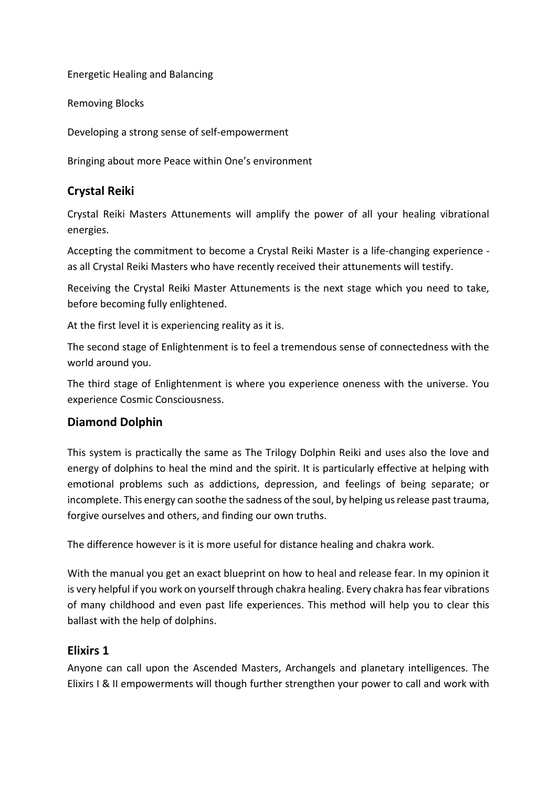Energetic Healing and Balancing

Removing Blocks

Developing a strong sense of self-empowerment

Bringing about more Peace within One's environment

# **Crystal Reiki**

Crystal Reiki Masters Attunements will amplify the power of all your healing vibrational energies.

Accepting the commitment to become a Crystal Reiki Master is a life-changing experience as all Crystal Reiki Masters who have recently received their attunements will testify.

Receiving the Crystal Reiki Master Attunements is the next stage which you need to take, before becoming fully enlightened.

At the first level it is experiencing reality as it is.

The second stage of Enlightenment is to feel a tremendous sense of connectedness with the world around you.

The third stage of Enlightenment is where you experience oneness with the universe. You experience Cosmic Consciousness.

# **Diamond Dolphin**

This system is practically the same as The Trilogy Dolphin Reiki and uses also the love and energy of dolphins to heal the mind and the spirit. It is particularly effective at helping with emotional problems such as addictions, depression, and feelings of being separate; or incomplete. This energy can soothe the sadness of the soul, by helping us release past trauma, forgive ourselves and others, and finding our own truths.

The difference however is it is more useful for distance healing and chakra work.

With the manual you get an exact blueprint on how to heal and release fear. In my opinion it is very helpful if you work on yourself through chakra healing. Every chakra has fear vibrations of many childhood and even past life experiences. This method will help you to clear this ballast with the help of dolphins.

#### **Elixirs 1**

Anyone can call upon the Ascended Masters, Archangels and planetary intelligences. The Elixirs I & II empowerments will though further strengthen your power to call and work with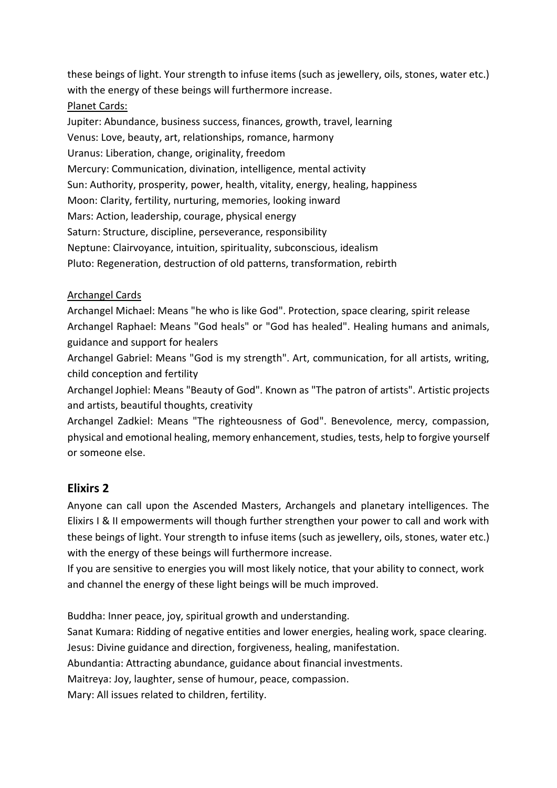these beings of light. Your strength to infuse items (such as jewellery, oils, stones, water etc.) with the energy of these beings will furthermore increase.

#### Planet Cards:

Jupiter: Abundance, business success, finances, growth, travel, learning Venus: Love, beauty, art, relationships, romance, harmony Uranus: Liberation, change, originality, freedom Mercury: Communication, divination, intelligence, mental activity Sun: Authority, prosperity, power, health, vitality, energy, healing, happiness Moon: Clarity, fertility, nurturing, memories, looking inward Mars: Action, leadership, courage, physical energy Saturn: Structure, discipline, perseverance, responsibility Neptune: Clairvoyance, intuition, spirituality, subconscious, idealism Pluto: Regeneration, destruction of old patterns, transformation, rebirth

#### Archangel Cards

Archangel Michael: Means "he who is like God". Protection, space clearing, spirit release Archangel Raphael: Means "God heals" or "God has healed". Healing humans and animals, guidance and support for healers

Archangel Gabriel: Means "God is my strength". Art, communication, for all artists, writing, child conception and fertility

Archangel Jophiel: Means "Beauty of God". Known as "The patron of artists". Artistic projects and artists, beautiful thoughts, creativity

Archangel Zadkiel: Means "The righteousness of God". Benevolence, mercy, compassion, physical and emotional healing, memory enhancement, studies, tests, help to forgive yourself or someone else.

# **Elixirs 2**

Anyone can call upon the Ascended Masters, Archangels and planetary intelligences. The Elixirs I & II empowerments will though further strengthen your power to call and work with these beings of light. Your strength to infuse items (such as jewellery, oils, stones, water etc.) with the energy of these beings will furthermore increase.

If you are sensitive to energies you will most likely notice, that your ability to connect, work and channel the energy of these light beings will be much improved.

Buddha: Inner peace, joy, spiritual growth and understanding.

Sanat Kumara: Ridding of negative entities and lower energies, healing work, space clearing. Jesus: Divine guidance and direction, forgiveness, healing, manifestation.

Abundantia: Attracting abundance, guidance about financial investments.

Maitreya: Joy, laughter, sense of humour, peace, compassion.

Mary: All issues related to children, fertility.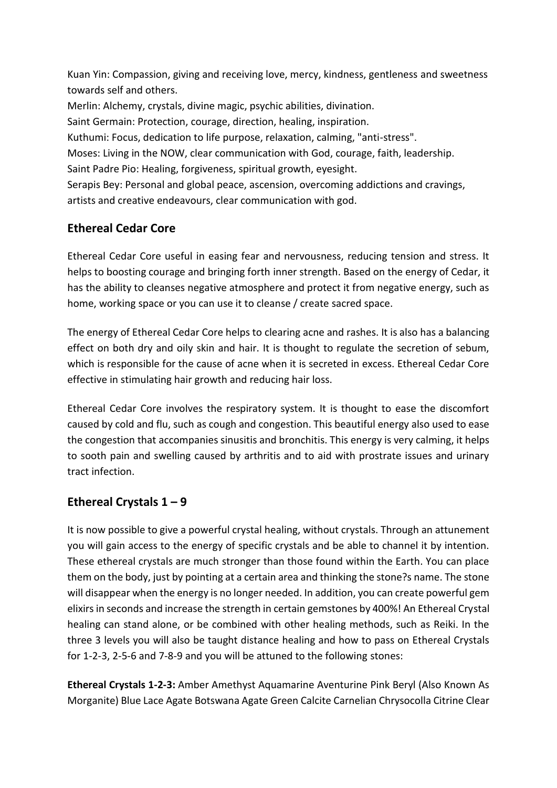Kuan Yin: Compassion, giving and receiving love, mercy, kindness, gentleness and sweetness towards self and others.

Merlin: Alchemy, crystals, divine magic, psychic abilities, divination.

Saint Germain: Protection, courage, direction, healing, inspiration.

Kuthumi: Focus, dedication to life purpose, relaxation, calming, "anti-stress".

Moses: Living in the NOW, clear communication with God, courage, faith, leadership. Saint Padre Pio: Healing, forgiveness, spiritual growth, eyesight.

Serapis Bey: Personal and global peace, ascension, overcoming addictions and cravings, artists and creative endeavours, clear communication with god.

# **Ethereal Cedar Core**

Ethereal Cedar Core useful in easing fear and nervousness, reducing tension and stress. It helps to boosting courage and bringing forth inner strength. Based on the energy of Cedar, it has the ability to cleanses negative atmosphere and protect it from negative energy, such as home, working space or you can use it to cleanse / create sacred space.

The energy of Ethereal Cedar Core helps to clearing acne and rashes. It is also has a balancing effect on both dry and oily skin and hair. It is thought to regulate the secretion of sebum, which is responsible for the cause of acne when it is secreted in excess. Ethereal Cedar Core effective in stimulating hair growth and reducing hair loss.

Ethereal Cedar Core involves the respiratory system. It is thought to ease the discomfort caused by cold and flu, such as cough and congestion. This beautiful energy also used to ease the congestion that accompanies sinusitis and bronchitis. This energy is very calming, it helps to sooth pain and swelling caused by arthritis and to aid with prostrate issues and urinary tract infection.

# **Ethereal Crystals 1 – 9**

It is now possible to give a powerful crystal healing, without crystals. Through an attunement you will gain access to the energy of specific crystals and be able to channel it by intention. These ethereal crystals are much stronger than those found within the Earth. You can place them on the body, just by pointing at a certain area and thinking the stone?s name. The stone will disappear when the energy is no longer needed. In addition, you can create powerful gem elixirs in seconds and increase the strength in certain gemstones by 400%! An Ethereal Crystal healing can stand alone, or be combined with other healing methods, such as Reiki. In the three 3 levels you will also be taught distance healing and how to pass on Ethereal Crystals for 1-2-3, 2-5-6 and 7-8-9 and you will be attuned to the following stones:

**Ethereal Crystals 1-2-3:** Amber Amethyst Aquamarine Aventurine Pink Beryl (Also Known As Morganite) Blue Lace Agate Botswana Agate Green Calcite Carnelian Chrysocolla Citrine Clear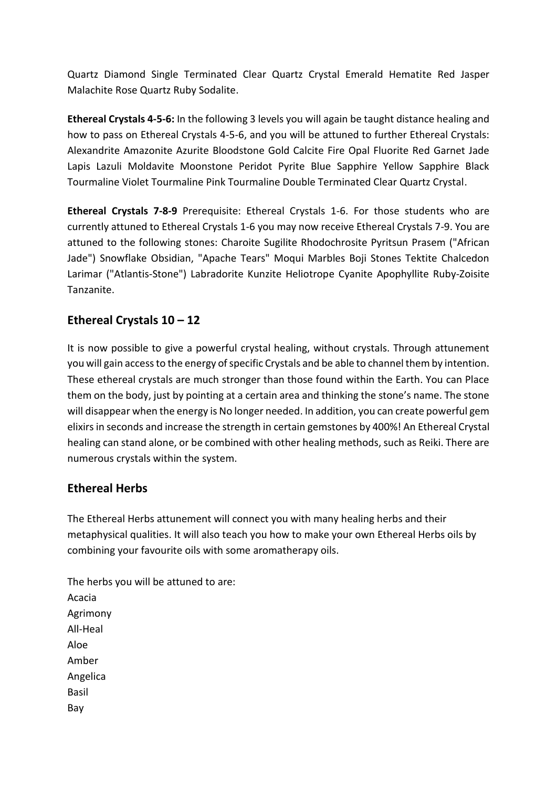Quartz Diamond Single Terminated Clear Quartz Crystal Emerald Hematite Red Jasper Malachite Rose Quartz Ruby Sodalite.

**Ethereal Crystals 4-5-6:** In the following 3 levels you will again be taught distance healing and how to pass on Ethereal Crystals 4-5-6, and you will be attuned to further Ethereal Crystals: Alexandrite Amazonite Azurite Bloodstone Gold Calcite Fire Opal Fluorite Red Garnet Jade Lapis Lazuli Moldavite Moonstone Peridot Pyrite Blue Sapphire Yellow Sapphire Black Tourmaline Violet Tourmaline Pink Tourmaline Double Terminated Clear Quartz Crystal.

**Ethereal Crystals 7-8-9** Prerequisite: Ethereal Crystals 1-6. For those students who are currently attuned to Ethereal Crystals 1-6 you may now receive Ethereal Crystals 7-9. You are attuned to the following stones: Charoite Sugilite Rhodochrosite Pyritsun Prasem ("African Jade") Snowflake Obsidian, "Apache Tears" Moqui Marbles Boji Stones Tektite Chalcedon Larimar ("Atlantis-Stone") Labradorite Kunzite Heliotrope Cyanite Apophyllite Ruby-Zoisite Tanzanite.

# **Ethereal Crystals 10 – 12**

It is now possible to give a powerful crystal healing, without crystals. Through attunement you will gain access to the energy of specific Crystals and be able to channel them by intention. These ethereal crystals are much stronger than those found within the Earth. You can Place them on the body, just by pointing at a certain area and thinking the stone's name. The stone will disappear when the energy is No longer needed. In addition, you can create powerful gem elixirs in seconds and increase the strength in certain gemstones by 400%! An Ethereal Crystal healing can stand alone, or be combined with other healing methods, such as Reiki. There are numerous crystals within the system.

#### **Ethereal Herbs**

The Ethereal Herbs attunement will connect you with many healing herbs and their metaphysical qualities. It will also teach you how to make your own Ethereal Herbs oils by combining your favourite oils with some aromatherapy oils.

The herbs you will be attuned to are: Acacia Agrimony All-Heal Aloe Amber Angelica Basil Bay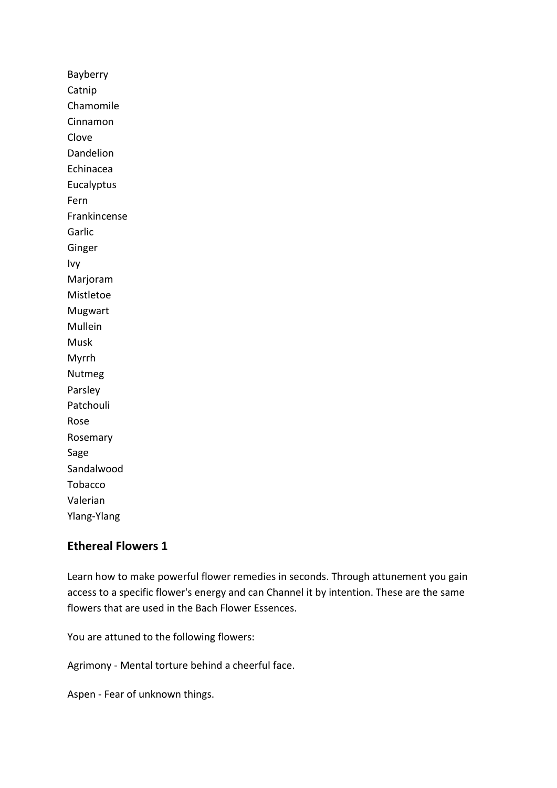Bayberry Catnip Chamomile Cinnamon Clove Dandelion Echinacea Eucalyptus Fern Frankincense Garlic Ginger Ivy Marjoram Mistletoe Mugwart Mullein Musk Myrrh Nutmeg Parsley Patchouli Rose Rosemary Sage Sandalwood Tobacco Valerian Ylang-Ylang

#### **Ethereal Flowers 1**

Learn how to make powerful flower remedies in seconds. Through attunement you gain access to a specific flower's energy and can Channel it by intention. These are the same flowers that are used in the Bach Flower Essences.

You are attuned to the following flowers:

Agrimony - Mental torture behind a cheerful face.

Aspen - Fear of unknown things.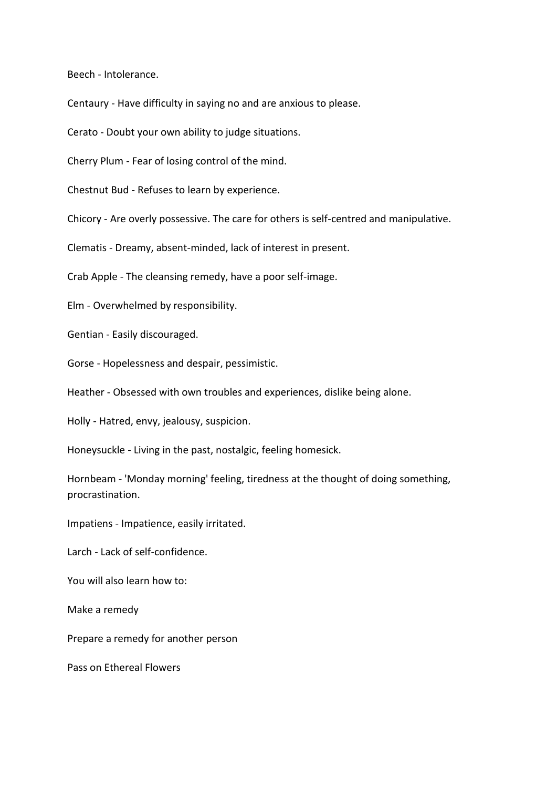Beech - Intolerance.

Centaury - Have difficulty in saying no and are anxious to please.

Cerato - Doubt your own ability to judge situations.

Cherry Plum - Fear of losing control of the mind.

Chestnut Bud - Refuses to learn by experience.

Chicory - Are overly possessive. The care for others is self-centred and manipulative.

Clematis - Dreamy, absent-minded, lack of interest in present.

Crab Apple - The cleansing remedy, have a poor self-image.

Elm - Overwhelmed by responsibility.

Gentian - Easily discouraged.

Gorse - Hopelessness and despair, pessimistic.

Heather - Obsessed with own troubles and experiences, dislike being alone.

Holly - Hatred, envy, jealousy, suspicion.

Honeysuckle - Living in the past, nostalgic, feeling homesick.

Hornbeam - 'Monday morning' feeling, tiredness at the thought of doing something, procrastination.

Impatiens - Impatience, easily irritated.

Larch - Lack of self-confidence.

You will also learn how to:

Make a remedy

Prepare a remedy for another person

Pass on Ethereal Flowers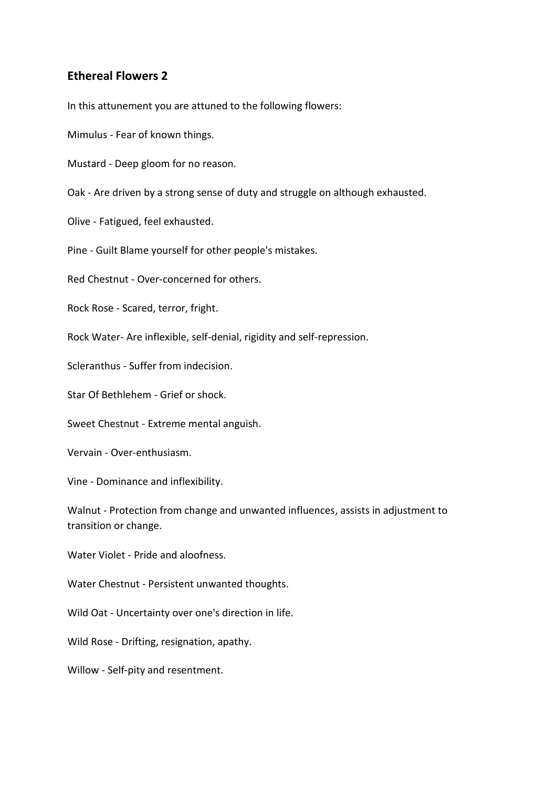#### **Ethereal Flowers 2**

In this attunement you are attuned to the following flowers:

Mimulus - Fear of known things.

Mustard - Deep gloom for no reason.

Oak - Are driven by a strong sense of duty and struggle on although exhausted.

Olive - Fatigued, feel exhausted.

Pine - Guilt Blame yourself for other people's mistakes.

Red Chestnut - Over-concerned for others.

Rock Rose - Scared, terror, fright.

Rock Water- Are inflexible, self-denial, rigidity and self-repression.

Scleranthus - Suffer from indecision.

Star Of Bethlehem - Grief or shock.

Sweet Chestnut - Extreme mental anguish.

Vervain - Over-enthusiasm.

Vine - Dominance and inflexibility.

Walnut - Protection from change and unwanted influences, assists in adjustment to transition or change.

Water Violet - Pride and aloofness.

Water Chestnut - Persistent unwanted thoughts.

Wild Oat - Uncertainty over one's direction in life.

Wild Rose - Drifting, resignation, apathy.

Willow - Self-pity and resentment.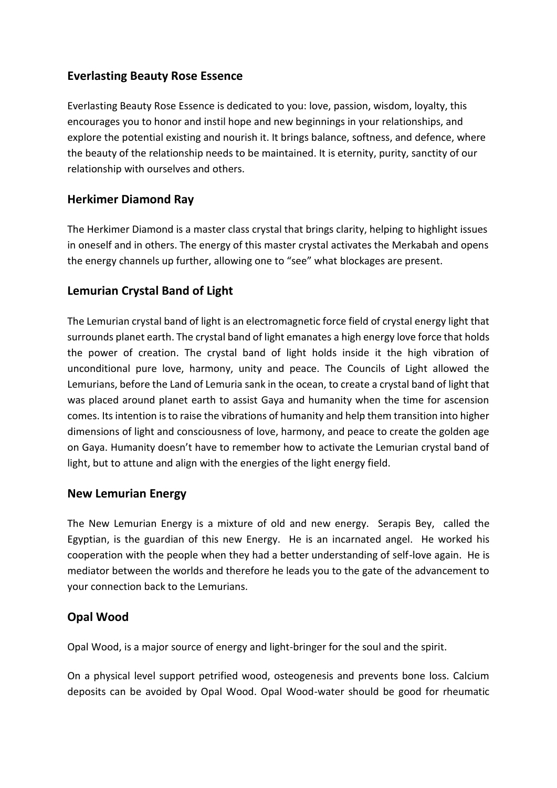## **Everlasting Beauty Rose Essence**

Everlasting Beauty Rose Essence is dedicated to you: love, passion, wisdom, loyalty, this encourages you to honor and instil hope and new beginnings in your relationships, and explore the potential existing and nourish it. It brings balance, softness, and defence, where the beauty of the relationship needs to be maintained. It is eternity, purity, sanctity of our relationship with ourselves and others.

#### **Herkimer Diamond Ray**

The Herkimer Diamond is a master class crystal that brings clarity, helping to highlight issues in oneself and in others. The energy of this master crystal activates the Merkabah and opens the energy channels up further, allowing one to "see" what blockages are present.

## **Lemurian Crystal Band of Light**

The Lemurian crystal band of light is an electromagnetic force field of crystal energy light that surrounds planet earth. The crystal band of light emanates a high energy love force that holds the power of creation. The crystal band of light holds inside it the high vibration of unconditional pure love, harmony, unity and peace. The Councils of Light allowed the Lemurians, before the Land of Lemuria sank in the ocean, to create a crystal band of light that was placed around planet earth to assist Gaya and humanity when the time for ascension comes. Its intention is to raise the vibrations of humanity and help them transition into higher dimensions of light and consciousness of love, harmony, and peace to create the golden age on Gaya. Humanity doesn't have to remember how to activate the Lemurian crystal band of light, but to attune and align with the energies of the light energy field.

#### **New Lemurian Energy**

The New Lemurian Energy is a mixture of old and new energy. Serapis Bey, called the Egyptian, is the guardian of this new Energy. He is an incarnated angel. He worked his cooperation with the people when they had a better understanding of self-love again. He is mediator between the worlds and therefore he leads you to the gate of the advancement to your connection back to the Lemurians.

#### **Opal Wood**

Opal Wood, is a major source of energy and light-bringer for the soul and the spirit.

On a physical level support petrified wood, osteogenesis and prevents bone loss. Calcium deposits can be avoided by Opal Wood. Opal Wood-water should be good for rheumatic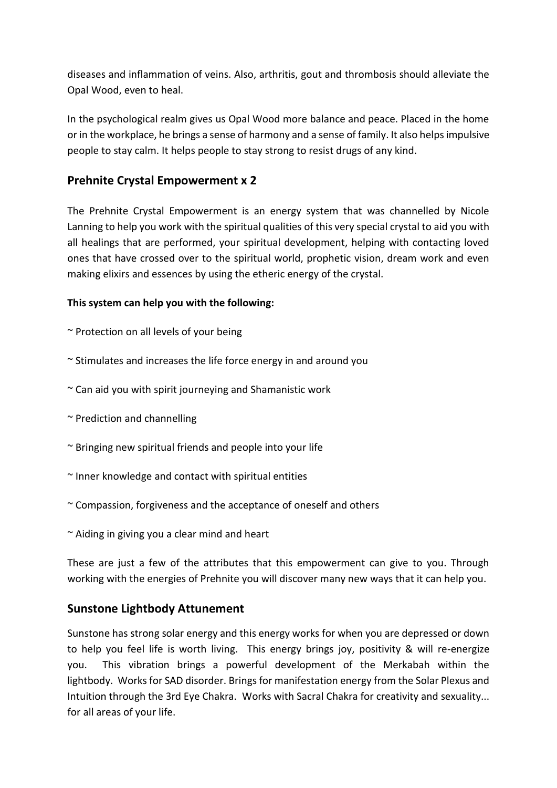diseases and inflammation of veins. Also, arthritis, gout and thrombosis should alleviate the Opal Wood, even to heal.

In the psychological realm gives us Opal Wood more balance and peace. Placed in the home or in the workplace, he brings a sense of harmony and a sense of family. It also helps impulsive people to stay calm. It helps people to stay strong to resist drugs of any kind.

## **Prehnite Crystal Empowerment x 2**

The Prehnite Crystal Empowerment is an energy system that was channelled by Nicole Lanning to help you work with the spiritual qualities of this very special crystal to aid you with all healings that are performed, your spiritual development, helping with contacting loved ones that have crossed over to the spiritual world, prophetic vision, dream work and even making elixirs and essences by using the etheric energy of the crystal.

#### **This system can help you with the following:**

~ Protection on all levels of your being

- $\sim$  Stimulates and increases the life force energy in and around you
- $\sim$  Can aid you with spirit journeying and Shamanistic work
- ~ Prediction and channelling
- ~ Bringing new spiritual friends and people into your life
- ~ Inner knowledge and contact with spiritual entities
- $\sim$  Compassion, forgiveness and the acceptance of oneself and others
- $\sim$  Aiding in giving you a clear mind and heart

These are just a few of the attributes that this empowerment can give to you. Through working with the energies of Prehnite you will discover many new ways that it can help you.

#### **Sunstone Lightbody Attunement**

Sunstone has strong solar energy and this energy works for when you are depressed or down to help you feel life is worth living. This energy brings joy, positivity & will re-energize you. This vibration brings a powerful development of the Merkabah within the lightbody. Works for SAD disorder. Brings for manifestation energy from the Solar Plexus and Intuition through the 3rd Eye Chakra. Works with Sacral Chakra for creativity and sexuality... for all areas of your life.